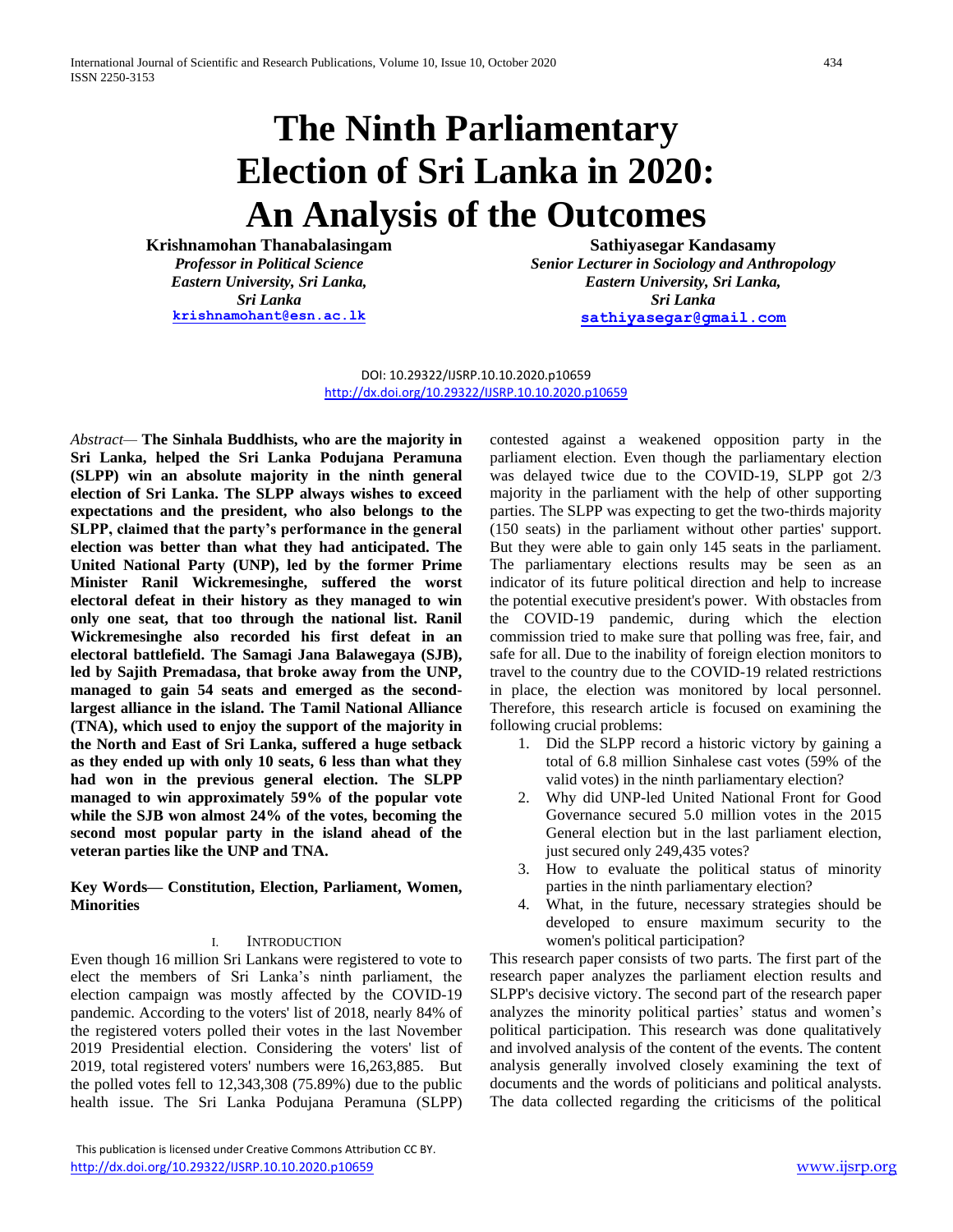# **The Ninth Parliamentary Election of Sri Lanka in 2020: An Analysis of the Outcomes**

**Krishnamohan Thanabalasingam** *Professor in Political Science Eastern University, Sri Lanka, Sri Lanka* **[krishnamohant@esn.ac.lk](mailto:krishnamohant@esn.ac.lk)**

**Sathiyasegar Kandasamy** *Senior Lecturer in Sociology and Anthropology Eastern University, Sri Lanka, Sri Lanka* **[sathiyasegar@gmail.com](mailto:sathiyasegar@gmail.com)**

DOI: 10.29322/IJSRP.10.10.2020.p10659 <http://dx.doi.org/10.29322/IJSRP.10.10.2020.p10659>

*Abstract—* **The Sinhala Buddhists, who are the majority in Sri Lanka, helped the Sri Lanka Podujana Peramuna (SLPP) win an absolute majority in the ninth general election of Sri Lanka. The SLPP always wishes to exceed expectations and the president, who also belongs to the SLPP, claimed that the party's performance in the general election was better than what they had anticipated. The United National Party (UNP), led by the former Prime Minister Ranil Wickremesinghe, suffered the worst electoral defeat in their history as they managed to win only one seat, that too through the national list. Ranil Wickremesinghe also recorded his first defeat in an electoral battlefield. The Samagi Jana Balawegaya (SJB), led by Sajith Premadasa, that broke away from the UNP, managed to gain 54 seats and emerged as the secondlargest alliance in the island. The Tamil National Alliance (TNA), which used to enjoy the support of the majority in the North and East of Sri Lanka, suffered a huge setback as they ended up with only 10 seats, 6 less than what they had won in the previous general election. The SLPP managed to win approximately 59% of the popular vote while the SJB won almost 24% of the votes, becoming the second most popular party in the island ahead of the veteran parties like the UNP and TNA.** 

**Key Words— Constitution, Election, Parliament, Women, Minorities** 

# I. INTRODUCTION

Even though 16 million Sri Lankans were registered to vote to elect the members of Sri Lanka's ninth parliament, the election campaign was mostly affected by the COVID-19 pandemic. According to the voters' list of 2018, nearly 84% of the registered voters polled their votes in the last November 2019 Presidential election. Considering the voters' list of 2019, total registered voters' numbers were 16,263,885. But the polled votes fell to 12,343,308 (75.89%) due to the public health issue. The Sri Lanka Podujana Peramuna (SLPP)

 This publication is licensed under Creative Commons Attribution CC BY. <http://dx.doi.org/10.29322/IJSRP.10.10.2020.p10659> [www.ijsrp.org](http://ijsrp.org/)

contested against a weakened opposition party in the parliament election. Even though the parliamentary election was delayed twice due to the COVID-19, SLPP got 2/3 majority in the parliament with the help of other supporting parties. The SLPP was expecting to get the two-thirds majority (150 seats) in the parliament without other parties' support. But they were able to gain only 145 seats in the parliament. The parliamentary elections results may be seen as an indicator of its future political direction and help to increase the potential executive president's power. With obstacles from the COVID-19 pandemic, during which the election commission tried to make sure that polling was free, fair, and safe for all. Due to the inability of foreign election monitors to travel to the country due to the COVID-19 related restrictions in place, the election was monitored by local personnel. Therefore, this research article is focused on examining the following crucial problems:

- 1. Did the SLPP record a historic victory by gaining a total of 6.8 million Sinhalese cast votes (59% of the valid votes) in the ninth parliamentary election?
- 2. Why did UNP-led United National Front for Good Governance secured 5.0 million votes in the 2015 General election but in the last parliament election, just secured only 249,435 votes?
- 3. How to evaluate the political status of minority parties in the ninth parliamentary election?
- 4. What, in the future, necessary strategies should be developed to ensure maximum security to the women's political participation?

This research paper consists of two parts. The first part of the research paper analyzes the parliament election results and SLPP's decisive victory. The second part of the research paper analyzes the minority political parties' status and women's political participation. This research was done qualitatively and involved analysis of the content of the events. The content analysis generally involved closely examining the text of documents and the words of politicians and political analysts. The data collected regarding the criticisms of the political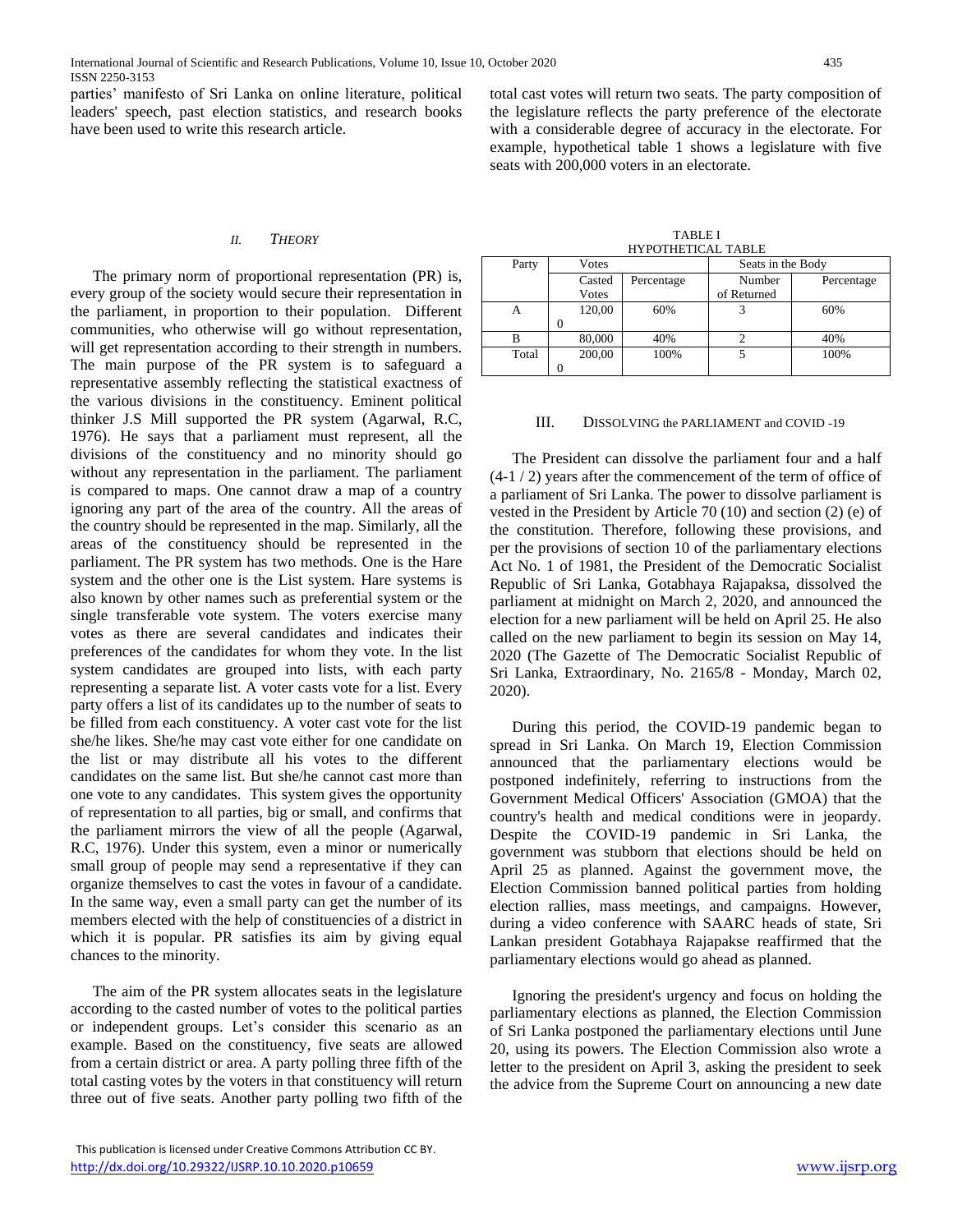parties' manifesto of Sri Lanka on online literature, political leaders' speech, past election statistics, and research books have been used to write this research article.

#### *II. THEORY*

The primary norm of proportional representation (PR) is, every group of the society would secure their representation in the parliament, in proportion to their population. Different communities, who otherwise will go without representation, will get representation according to their strength in numbers. The main purpose of the PR system is to safeguard a representative assembly reflecting the statistical exactness of the various divisions in the constituency. Eminent political thinker J.S Mill supported the PR system (Agarwal, R.C, 1976). He says that a parliament must represent, all the divisions of the constituency and no minority should go without any representation in the parliament. The parliament is compared to maps. One cannot draw a map of a country ignoring any part of the area of the country. All the areas of the country should be represented in the map. Similarly, all the areas of the constituency should be represented in the parliament. The PR system has two methods. One is the Hare system and the other one is the List system. Hare systems is also known by other names such as preferential system or the single transferable vote system. The voters exercise many votes as there are several candidates and indicates their preferences of the candidates for whom they vote. In the list system candidates are grouped into lists, with each party representing a separate list. A voter casts vote for a list. Every party offers a list of its candidates up to the number of seats to be filled from each constituency. A voter cast vote for the list she/he likes. She/he may cast vote either for one candidate on the list or may distribute all his votes to the different candidates on the same list. But she/he cannot cast more than one vote to any candidates. This system gives the opportunity of representation to all parties, big or small, and confirms that the parliament mirrors the view of all the people (Agarwal, R.C, 1976). Under this system, even a minor or numerically small group of people may send a representative if they can organize themselves to cast the votes in favour of a candidate. In the same way, even a small party can get the number of its members elected with the help of constituencies of a district in which it is popular. PR satisfies its aim by giving equal chances to the minority.

The aim of the PR system allocates seats in the legislature according to the casted number of votes to the political parties or independent groups. Let's consider this scenario as an example. Based on the constituency, five seats are allowed from a certain district or area. A party polling three fifth of the total casting votes by the voters in that constituency will return three out of five seats. Another party polling two fifth of the

 This publication is licensed under Creative Commons Attribution CC BY. <http://dx.doi.org/10.29322/IJSRP.10.10.2020.p10659> [www.ijsrp.org](http://ijsrp.org/)

total cast votes will return two seats. The party composition of the legislature reflects the party preference of the electorate with a considerable degree of accuracy in the electorate. For example, hypothetical table 1 shows a legislature with five seats with 200,000 voters in an electorate.

| <b>TABLE I</b>     |
|--------------------|
| HYPOTHETICAL TABLE |

| Party | Votes  |                      | Seats in the Body |            |  |  |
|-------|--------|----------------------|-------------------|------------|--|--|
|       | Casted | Number<br>Percentage |                   | Percentage |  |  |
|       | Votes  |                      | of Returned       |            |  |  |
| А     | 120,00 | 60%                  |                   | 60%        |  |  |
|       |        |                      |                   |            |  |  |
| R     | 80,000 | 40%                  |                   | 40%        |  |  |
| Total | 200,00 | 100%                 |                   | 100%       |  |  |
|       |        |                      |                   |            |  |  |

#### III. DISSOLVING the PARLIAMENT and COVID -19

The President can dissolve the parliament four and a half (4-1 / 2) years after the commencement of the term of office of a parliament of Sri Lanka. The power to dissolve parliament is vested in the President by Article 70 (10) and section (2) (e) of the constitution. Therefore, following these provisions, and per the provisions of section 10 of the parliamentary elections Act No. 1 of 1981, the President of the Democratic Socialist Republic of Sri Lanka, Gotabhaya Rajapaksa, dissolved the parliament at midnight on March 2, 2020, and announced the election for a new parliament will be held on April 25. He also called on the new parliament to begin its session on May 14, 2020 (The Gazette of The Democratic Socialist Republic of Sri Lanka, Extraordinary, No. 2165/8 - Monday, March 02, 2020).

During this period, the COVID-19 pandemic began to spread in Sri Lanka. On March 19, Election Commission announced that the parliamentary elections would be postponed indefinitely, referring to instructions from the Government Medical Officers' Association (GMOA) that the country's health and medical conditions were in jeopardy. Despite the COVID-19 pandemic in Sri Lanka, the government was stubborn that elections should be held on April 25 as planned. Against the government move, the Election Commission banned political parties from holding election rallies, mass meetings, and campaigns. However, during a video conference with SAARC heads of state, Sri Lankan president Gotabhaya Rajapakse reaffirmed that the parliamentary elections would go ahead as planned.

Ignoring the president's urgency and focus on holding the parliamentary elections as planned, the Election Commission of Sri Lanka postponed the parliamentary elections until June 20, using its powers. The Election Commission also wrote a letter to the president on April 3, asking the president to seek the advice from the Supreme Court on announcing a new date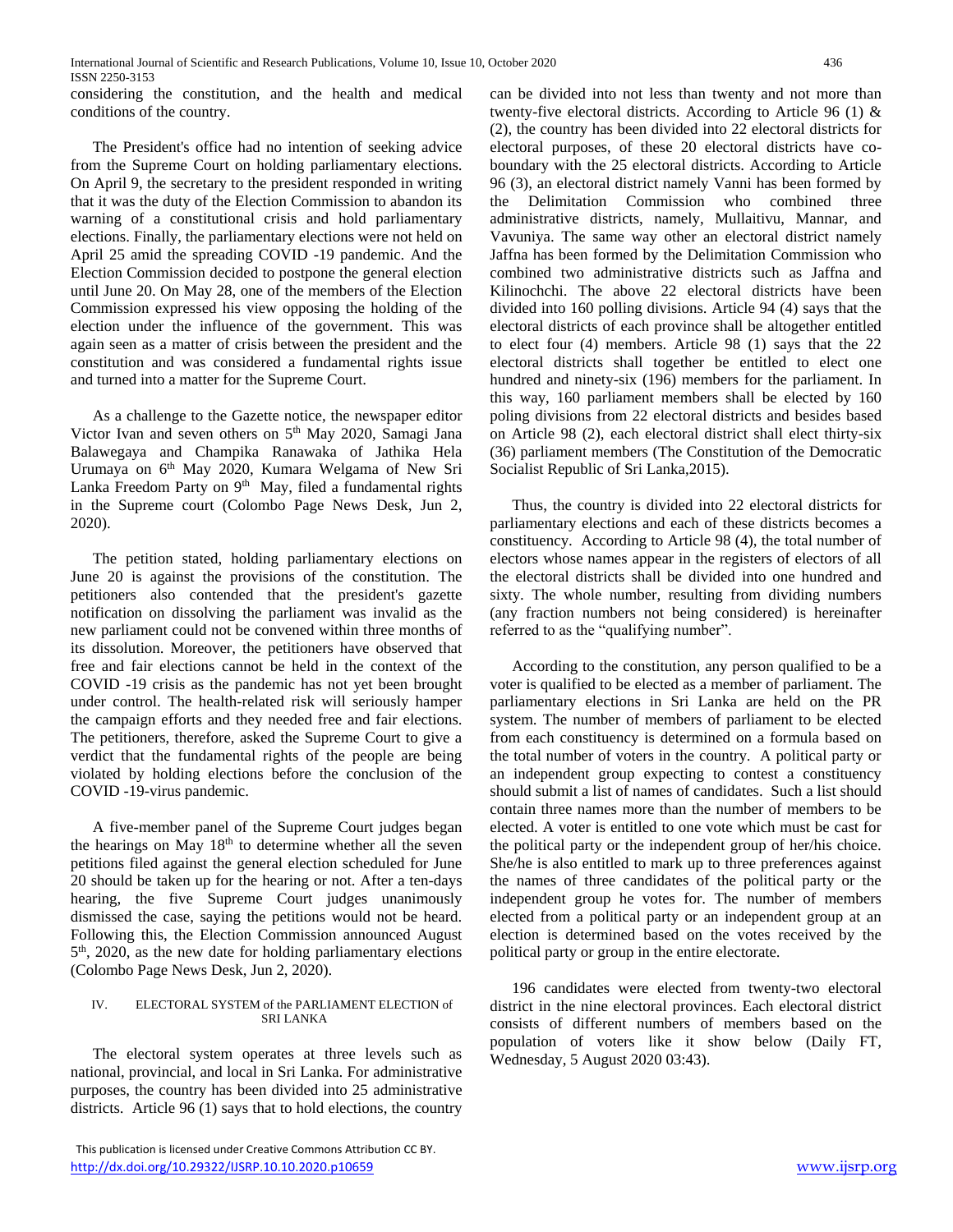considering the constitution, and the health and medical conditions of the country.

The President's office had no intention of seeking advice from the Supreme Court on holding parliamentary elections. On April 9, the secretary to the president responded in writing that it was the duty of the Election Commission to abandon its warning of a constitutional crisis and hold parliamentary elections. Finally, the parliamentary elections were not held on April 25 amid the spreading COVID -19 pandemic. And the Election Commission decided to postpone the general election until June 20. On May 28, one of the members of the Election Commission expressed his view opposing the holding of the election under the influence of the government. This was again seen as a matter of crisis between the president and the constitution and was considered a fundamental rights issue and turned into a matter for the Supreme Court.

As a challenge to the Gazette notice, the newspaper editor Victor Ivan and seven others on 5th May 2020, Samagi Jana Balawegaya and Champika Ranawaka of Jathika Hela Urumaya on 6th May 2020, Kumara Welgama of New Sri Lanka Freedom Party on 9<sup>th</sup> May, filed a fundamental rights in the Supreme court (Colombo Page News Desk, Jun 2, 2020).

The petition stated, holding parliamentary elections on June 20 is against the provisions of the constitution. The petitioners also contended that the president's gazette notification on dissolving the parliament was invalid as the new parliament could not be convened within three months of its dissolution. Moreover, the petitioners have observed that free and fair elections cannot be held in the context of the COVID -19 crisis as the pandemic has not yet been brought under control. The health-related risk will seriously hamper the campaign efforts and they needed free and fair elections. The petitioners, therefore, asked the Supreme Court to give a verdict that the fundamental rights of the people are being violated by holding elections before the conclusion of the COVID -19-virus pandemic.

A five-member panel of the Supreme Court judges began the hearings on May  $18<sup>th</sup>$  to determine whether all the seven petitions filed against the general election scheduled for June 20 should be taken up for the hearing or not. After a ten-days hearing, the five Supreme Court judges unanimously dismissed the case, saying the petitions would not be heard. Following this, the Election Commission announced August 5<sup>th</sup>, 2020, as the new date for holding parliamentary elections (Colombo Page News Desk, Jun 2, 2020).

## IV. ELECTORAL SYSTEM of the PARLIAMENT ELECTION of SRI LANKA

The electoral system operates at three levels such as national, provincial, and local in Sri Lanka. For administrative purposes, the country has been divided into 25 administrative districts. Article 96 (1) says that to hold elections, the country

 This publication is licensed under Creative Commons Attribution CC BY. <http://dx.doi.org/10.29322/IJSRP.10.10.2020.p10659> [www.ijsrp.org](http://ijsrp.org/)

can be divided into not less than twenty and not more than twenty-five electoral districts. According to Article 96 (1) & (2), the country has been divided into 22 electoral districts for electoral purposes, of these 20 electoral districts have coboundary with the 25 electoral districts. According to Article 96 (3), an electoral district namely Vanni has been formed by the Delimitation Commission who combined three administrative districts, namely, Mullaitivu, Mannar, and Vavuniya. The same way other an electoral district namely Jaffna has been formed by the Delimitation Commission who combined two administrative districts such as Jaffna and Kilinochchi. The above 22 electoral districts have been divided into 160 polling divisions. Article 94 (4) says that the electoral districts of each province shall be altogether entitled to elect four (4) members. Article 98 (1) says that the 22 electoral districts shall together be entitled to elect one hundred and ninety-six (196) members for the parliament. In this way, 160 parliament members shall be elected by 160 poling divisions from 22 electoral districts and besides based on Article 98 (2), each electoral district shall elect thirty-six (36) parliament members (The Constitution of the Democratic Socialist Republic of Sri Lanka,2015).

Thus, the country is divided into 22 electoral districts for parliamentary elections and each of these districts becomes a constituency. According to Article 98 (4), the total number of electors whose names appear in the registers of electors of all the electoral districts shall be divided into one hundred and sixty. The whole number, resulting from dividing numbers (any fraction numbers not being considered) is hereinafter referred to as the "qualifying number".

According to the constitution, any person qualified to be a voter is qualified to be elected as a member of parliament. The parliamentary elections in Sri Lanka are held on the PR system. The number of members of parliament to be elected from each constituency is determined on a formula based on the total number of voters in the country. A political party or an independent group expecting to contest a constituency should submit a list of names of candidates. Such a list should contain three names more than the number of members to be elected. A voter is entitled to one vote which must be cast for the political party or the independent group of her/his choice. She/he is also entitled to mark up to three preferences against the names of three candidates of the political party or the independent group he votes for. The number of members elected from a political party or an independent group at an election is determined based on the votes received by the political party or group in the entire electorate.

196 candidates were elected from twenty-two electoral district in the nine electoral provinces. Each electoral district consists of different numbers of members based on the population of voters like it show below (Daily FT, Wednesday, 5 August 2020 03:43).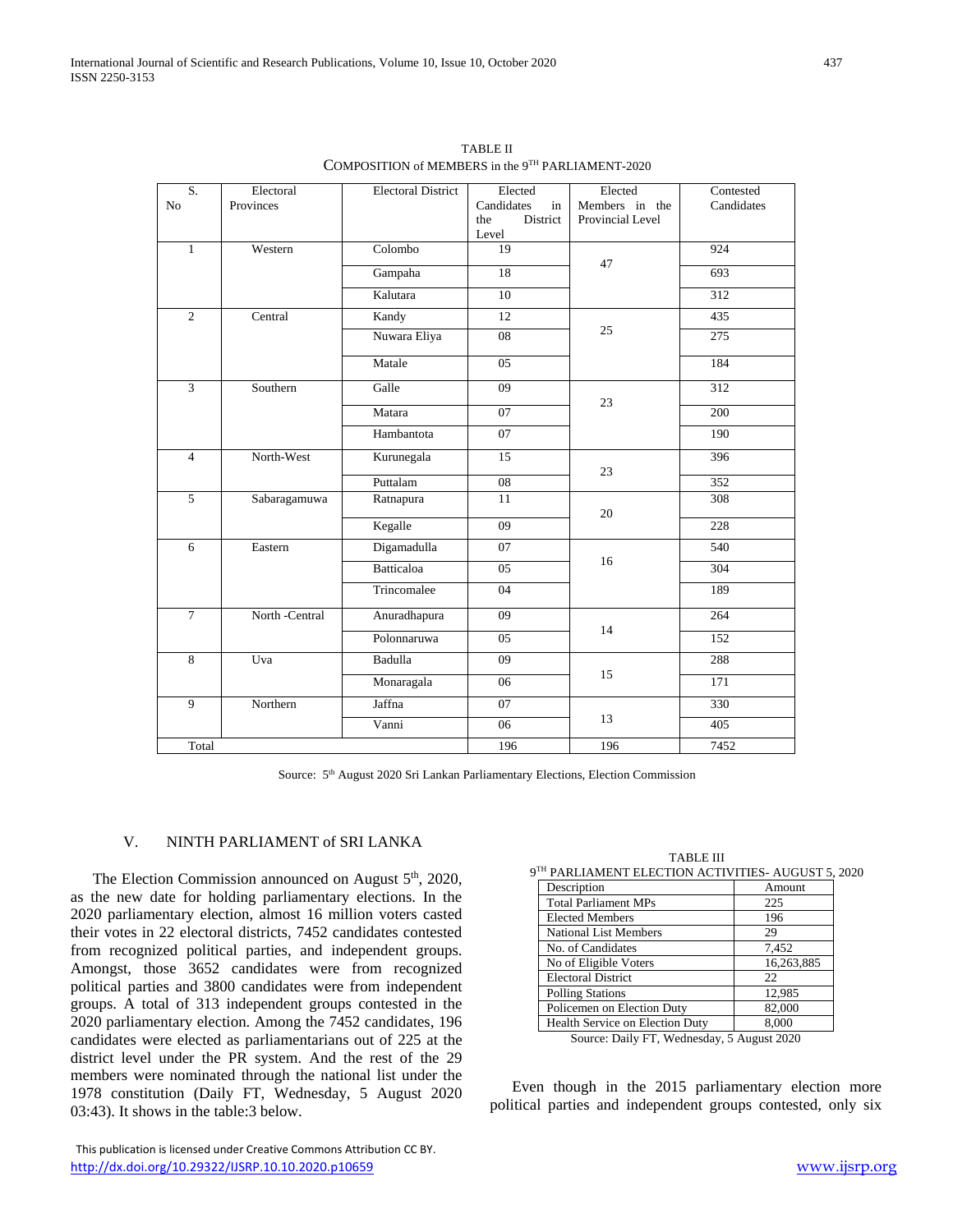| S.             | Electoral      | <b>Electoral District</b>   | Elected                  | Elected          | Contested        |
|----------------|----------------|-----------------------------|--------------------------|------------------|------------------|
| No             | Provinces      |                             | Candidates<br>in         | Members in the   | Candidates       |
|                |                |                             | District<br>the<br>Level | Provincial Level |                  |
| $\mathbf{1}$   | Western        | $\overline{\text{Colombo}}$ | 19                       |                  | 924              |
|                |                | Gampaha                     | $\overline{18}$          | 47               | 693              |
|                |                | Kalutara                    | 10                       |                  | 312              |
|                |                |                             |                          |                  |                  |
| $\overline{2}$ | Central        | Kandy                       | 12                       | 25               | 435              |
|                |                | Nuwara Eliya                | 08                       |                  | $\overline{275}$ |
|                |                | Matale                      | 05                       |                  | 184              |
| $\overline{3}$ | Southern       | Galle                       | $\overline{09}$          | 23               | $\overline{312}$ |
|                |                | Matara                      | 07                       |                  | 200              |
|                |                | Hambantota                  | 07                       |                  | 190              |
| $\overline{4}$ | North-West     | Kurunegala                  | $\overline{15}$          | 23               | 396              |
|                |                | Puttalam                    | ${\bf 08}$               |                  | 352              |
| $\overline{5}$ | Sabaragamuwa   | Ratnapura                   | 11                       | 20               | 308              |
|                |                | Kegalle                     | 09                       |                  | 228              |
| 6              | Eastern        | Digamadulla                 | 07                       |                  | 540              |
|                |                | <b>Batticaloa</b>           | 05                       | 16               | 304              |
|                |                | Trincomalee                 | 04                       |                  | 189              |
| $\overline{7}$ | North -Central | Anuradhapura                | $\overline{09}$          | 14               | 264              |
|                |                | Polonnaruwa                 | 05                       |                  | 152              |
| 8              | Uva            | Badulla                     | 09                       |                  | 288              |
|                |                | Monaragala                  | 06                       | 15               | 171              |
| $\overline{9}$ | Northern       | Jaffna                      | 07                       |                  | 330              |
|                |                | Vanni                       | 06                       | 13               | 405              |
| Total          |                |                             | 196                      | 196              | 7452             |

TABLE II COMPOSITION of MEMBERS in the 9TH PARLIAMENT-2020

Source: 5<sup>th</sup> August 2020 Sri Lankan Parliamentary Elections, Election Commission

#### V. NINTH PARLIAMENT of SRI LANKA

The Election Commission announced on August 5<sup>th</sup>, 2020, as the new date for holding parliamentary elections. In the 2020 parliamentary election, almost 16 million voters casted their votes in 22 electoral districts, 7452 candidates contested from recognized political parties, and independent groups. Amongst, those 3652 candidates were from recognized political parties and 3800 candidates were from independent groups. A total of 313 independent groups contested in the 2020 parliamentary election. Among the 7452 candidates, 196 candidates were elected as parliamentarians out of 225 at the district level under the PR system. And the rest of the 29 members were nominated through the national list under the 1978 constitution (Daily FT, Wednesday, 5 August 2020 03:43). It shows in the table:3 below.

TABLE III 9 TH PARLIAMENT ELECTION ACTIVITIES- AUGUST 5, 2020 Description Amount Total Parliament MPs<br>Elected Members 196 Elected Members National List Members 29 No. of Candidates 7,452 No of Eligible Voters 16,263,885

| Policemen on Election Duty                 | 82,000 |
|--------------------------------------------|--------|
| <b>Health Service on Election Duty</b>     | 8.000  |
| Source: Daily FT, Wednesday, 5 August 2020 |        |

Electoral District 22 Polling Stations 12,985

Even though in the 2015 parliamentary election more political parties and independent groups contested, only six

This publication is licensed under Creative Commons Attribution CC BY. <http://dx.doi.org/10.29322/IJSRP.10.10.2020.p10659> [www.ijsrp.org](http://ijsrp.org/)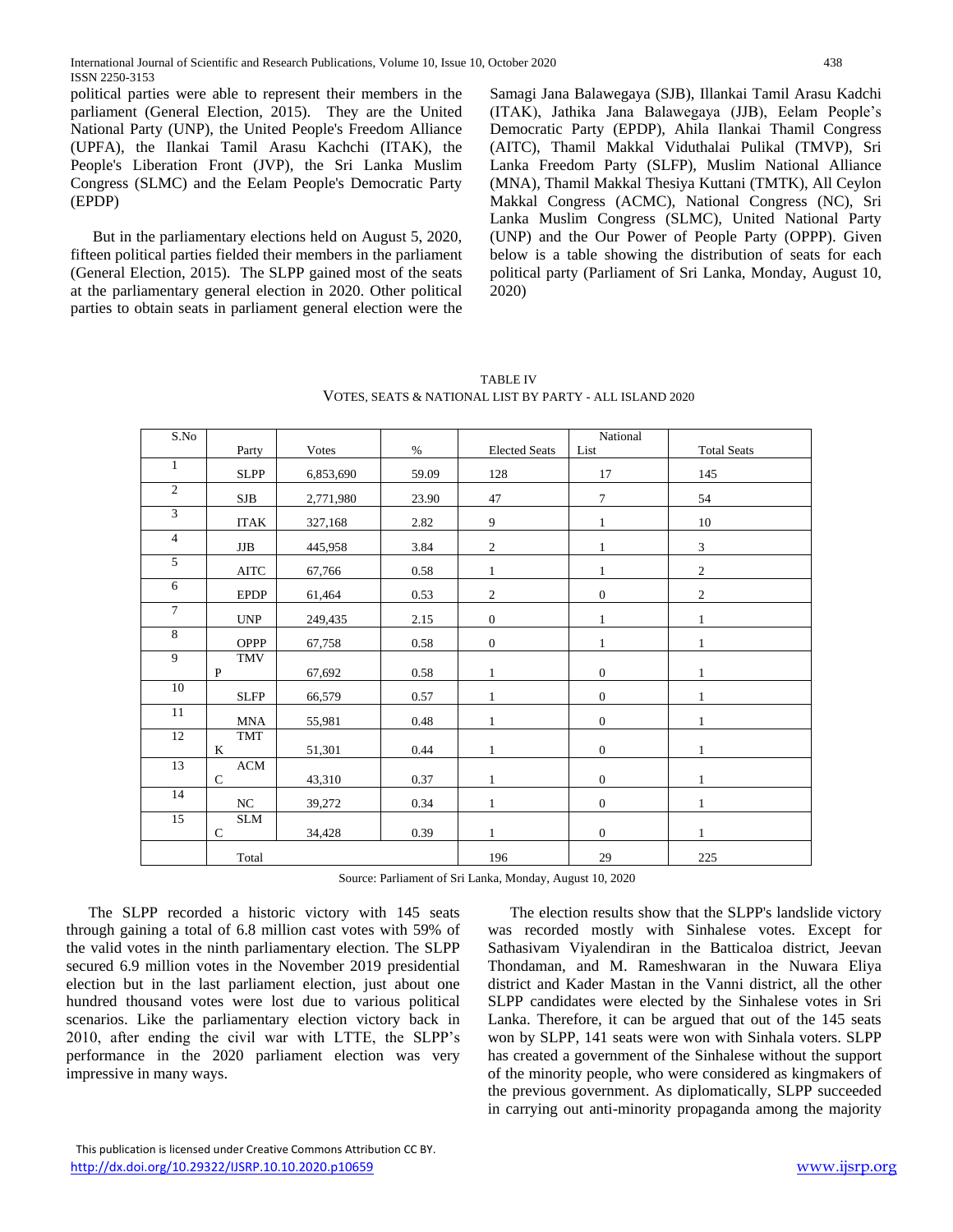political parties were able to represent their members in the parliament (General Election, 2015). They are the United National Party (UNP), the United People's Freedom Alliance (UPFA), the Ilankai Tamil Arasu Kachchi (ITAK), the People's Liberation Front (JVP), the Sri Lanka Muslim Congress (SLMC) and the Eelam People's Democratic Party (EPDP)

But in the parliamentary elections held on August 5, 2020, fifteen political parties fielded their members in the parliament (General Election, 2015). The SLPP gained most of the seats at the parliamentary general election in 2020. Other political parties to obtain seats in parliament general election were the Samagi Jana Balawegaya (SJB), Illankai Tamil Arasu Kadchi (ITAK), Jathika Jana Balawegaya (JJB), Eelam People's Democratic Party (EPDP), Ahila Ilankai Thamil Congress (AITC), Thamil Makkal Viduthalai Pulikal (TMVP), Sri Lanka Freedom Party (SLFP), Muslim National Alliance (MNA), Thamil Makkal Thesiya Kuttani (TMTK), All Ceylon Makkal Congress (ACMC), National Congress (NC), Sri Lanka Muslim Congress (SLMC), United National Party (UNP) and the Our Power of People Party (OPPP). Given below is a table showing the distribution of seats for each political party (Parliament of Sri Lanka, Monday, August 10, 2020)

| S.No           | Party        | Votes     | $\%$  | <b>Elected Seats</b> | National<br>List | <b>Total Seats</b> |
|----------------|--------------|-----------|-------|----------------------|------------------|--------------------|
| 1              |              |           |       |                      |                  |                    |
|                | <b>SLPP</b>  | 6,853,690 | 59.09 | 128                  | 17               | 145                |
| 2              | <b>SJB</b>   | 2,771,980 | 23.90 | 47                   | 7                | 54                 |
| 3              | <b>ITAK</b>  | 327,168   | 2.82  | 9                    | $\mathbf{1}$     | 10                 |
| $\overline{4}$ | JJB          | 445,958   | 3.84  | $\overline{c}$       | 1                | $\mathfrak{Z}$     |
| $\overline{5}$ | <b>AITC</b>  | 67,766    | 0.58  | 1                    | $\mathbf{1}$     | $\overline{c}$     |
| 6              | <b>EPDP</b>  | 61,464    | 0.53  | $\overline{c}$       | $\mathbf{0}$     | $\overline{c}$     |
| $\tau$         | <b>UNP</b>   | 249,435   | 2.15  | $\boldsymbol{0}$     | $\mathbf{1}$     | $\mathbf{1}$       |
| 8              | <b>OPPP</b>  | 67,758    | 0.58  | $\boldsymbol{0}$     | $\mathbf{1}$     | $\mathbf{1}$       |
| $\overline{9}$ | TMV          |           |       |                      |                  |                    |
|                | $\mathbf P$  | 67,692    | 0.58  | $\mathbf{1}$         | $\mathbf{0}$     | $\mathbf{1}$       |
| 10             | <b>SLFP</b>  | 66,579    | 0.57  | $\mathbf{1}$         | $\mathbf{0}$     | $\mathbf{1}$       |
| $11\,$         | <b>MNA</b>   | 55,981    | 0.48  | $\mathbf{1}$         | $\boldsymbol{0}$ | $\mathbf{1}$       |
| 12             | TMT          |           |       |                      |                  |                    |
|                | K            | 51,301    | 0.44  | 1                    | $\boldsymbol{0}$ | $\mathbf{1}$       |
| 13             | $\rm{ACM}$   |           |       |                      |                  |                    |
|                | $\mathsf{C}$ | 43,310    | 0.37  | 1                    | $\mathbf{0}$     | $\mathbf{1}$       |
| 14             | NC           | 39,272    | 0.34  | $\mathbf{1}$         | $\boldsymbol{0}$ | $\mathbf{1}$       |
| 15             | <b>SLM</b>   |           |       |                      |                  |                    |
|                | $\mathsf{C}$ | 34,428    | 0.39  | 1                    | $\mathbf{0}$     | $\mathbf{1}$       |
|                | Total        |           |       | 196                  | 29               | 225                |

TABLE IV VOTES, SEATS & NATIONAL LIST BY PARTY - ALL ISLAND 2020

Source: Parliament of Sri Lanka, Monday, August 10, 2020

The SLPP recorded a historic victory with 145 seats through gaining a total of 6.8 million cast votes with 59% of the valid votes in the ninth parliamentary election. The SLPP secured 6.9 million votes in the November 2019 presidential election but in the last parliament election, just about one hundred thousand votes were lost due to various political scenarios. Like the parliamentary election victory back in 2010, after ending the civil war with LTTE, the SLPP's performance in the 2020 parliament election was very impressive in many ways.

The election results show that the SLPP's landslide victory was recorded mostly with Sinhalese votes. Except for Sathasivam Viyalendiran in the Batticaloa district, Jeevan Thondaman, and M. Rameshwaran in the Nuwara Eliya district and Kader Mastan in the Vanni district, all the other SLPP candidates were elected by the Sinhalese votes in Sri Lanka. Therefore, it can be argued that out of the 145 seats won by SLPP, 141 seats were won with Sinhala voters. SLPP has created a government of the Sinhalese without the support of the minority people, who were considered as kingmakers of the previous government. As diplomatically, SLPP succeeded in carrying out anti-minority propaganda among the majority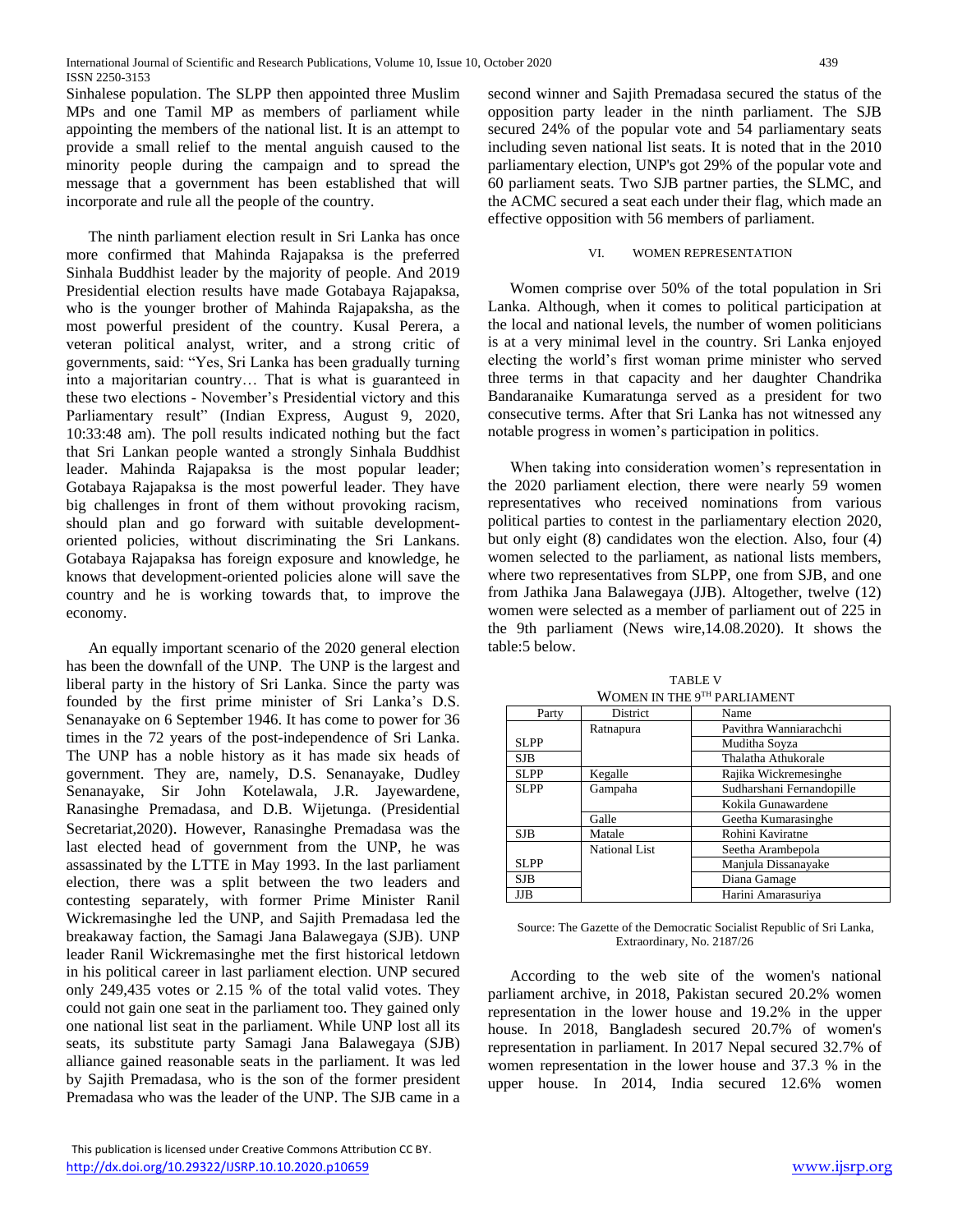Sinhalese population. The SLPP then appointed three Muslim MPs and one Tamil MP as members of parliament while appointing the members of the national list. It is an attempt to provide a small relief to the mental anguish caused to the minority people during the campaign and to spread the message that a government has been established that will incorporate and rule all the people of the country.

The ninth parliament election result in Sri Lanka has once more confirmed that Mahinda Rajapaksa is the preferred Sinhala Buddhist leader by the majority of people. And 2019 Presidential election results have made Gotabaya Rajapaksa, who is the younger brother of Mahinda Rajapaksha, as the most powerful president of the country. Kusal Perera, a veteran political analyst, writer, and a strong critic of governments, said: "Yes, Sri Lanka has been gradually turning into a majoritarian country… That is what is guaranteed in these two elections - November's Presidential victory and this Parliamentary result" (Indian Express, August 9, 2020, 10:33:48 am). The poll results indicated nothing but the fact that Sri Lankan people wanted a strongly Sinhala Buddhist leader. Mahinda Rajapaksa is the most popular leader; Gotabaya Rajapaksa is the most powerful leader. They have big challenges in front of them without provoking racism, should plan and go forward with suitable developmentoriented policies, without discriminating the Sri Lankans. Gotabaya Rajapaksa has foreign exposure and knowledge, he knows that development-oriented policies alone will save the country and he is working towards that, to improve the economy.

An equally important scenario of the 2020 general election has been the downfall of the UNP. The UNP is the largest and liberal party in the history of Sri Lanka. Since the party was founded by the first prime minister of Sri Lanka's D.S. Senanayake on 6 September 1946. It has come to power for 36 times in the 72 years of the post-independence of Sri Lanka. The UNP has a noble history as it has made six heads of government. They are, namely, D.S. Senanayake, Dudley Senanayake, Sir John Kotelawala, J.R. Jayewardene, Ranasinghe Premadasa, and D.B. Wijetunga. (Presidential Secretariat,2020). However, Ranasinghe Premadasa was the last elected head of government from the UNP, he was assassinated by the LTTE in May 1993. In the last parliament election, there was a split between the two leaders and contesting separately, with former Prime Minister Ranil Wickremasinghe led the UNP, and Sajith Premadasa led the breakaway faction, the Samagi Jana Balawegaya (SJB). UNP leader Ranil Wickremasinghe met the first historical letdown in his political career in last parliament election. UNP secured only 249,435 votes or 2.15 % of the total valid votes. They could not gain one seat in the parliament too. They gained only one national list seat in the parliament. While UNP lost all its seats, its substitute party Samagi Jana Balawegaya (SJB) alliance gained reasonable seats in the parliament. It was led by Sajith Premadasa, who is the son of the former president Premadasa who was the leader of the UNP. The SJB came in a

 This publication is licensed under Creative Commons Attribution CC BY. <http://dx.doi.org/10.29322/IJSRP.10.10.2020.p10659> [www.ijsrp.org](http://ijsrp.org/)

second winner and Sajith Premadasa secured the status of the opposition party leader in the ninth parliament. The SJB secured 24% of the popular vote and 54 parliamentary seats including seven national list seats. It is noted that in the 2010 parliamentary election, UNP's got 29% of the popular vote and 60 parliament seats. Two SJB partner parties, the SLMC, and the ACMC secured a seat each under their flag, which made an effective opposition with 56 members of parliament.

#### VI. WOMEN REPRESENTATION

Women comprise over 50% of the total population in Sri Lanka. Although, when it comes to political participation at the local and national levels, the number of women politicians is at a very minimal level in the country. Sri Lanka enjoyed electing the world's first woman prime minister who served three terms in that capacity and her daughter Chandrika Bandaranaike Kumaratunga served as a president for two consecutive terms. After that Sri Lanka has not witnessed any notable progress in women's participation in politics.

When taking into consideration women's representation in the 2020 parliament election, there were nearly 59 women representatives who received nominations from various political parties to contest in the parliamentary election 2020, but only eight (8) candidates won the election. Also, four (4) women selected to the parliament, as national lists members, where two representatives from SLPP, one from SJB, and one from Jathika Jana Balawegaya (JJB). Altogether, twelve (12) women were selected as a member of parliament out of 225 in the 9th parliament (News wire,14.08.2020). It shows the table:5 below.

TABLE V WOMEN IN THE 9TH PARLIAMENT

| Party       | District      | Name                      |
|-------------|---------------|---------------------------|
|             | Ratnapura     | Pavithra Wanniarachchi    |
| SLPP        |               | Muditha Soyza             |
| <b>SJB</b>  |               | Thalatha Athukorale       |
| <b>SLPP</b> | Kegalle       | Rajika Wickremesinghe     |
| SLPP        | Gampaha       | Sudharshani Fernandopille |
|             |               | Kokila Gunawardene        |
|             | Galle         | Geetha Kumarasinghe       |
| <b>SJB</b>  | Matale        | Rohini Kaviratne          |
|             | National List | Seetha Arambepola         |
| SLPP        |               | Manjula Dissanayake       |
| <b>SJB</b>  |               | Diana Gamage              |
| <b>JJB</b>  |               | Harini Amarasuriya        |

Source: The Gazette of the Democratic Socialist Republic of Sri Lanka, Extraordinary, No. 2187/26

According to the web site of the women's national parliament archive, in 2018, Pakistan secured 20.2% women representation in the lower house and 19.2% in the upper house. In 2018, Bangladesh secured 20.7% of women's representation in parliament. In 2017 Nepal secured 32.7% of women representation in the lower house and 37.3 % in the upper house. In 2014, India secured 12.6% women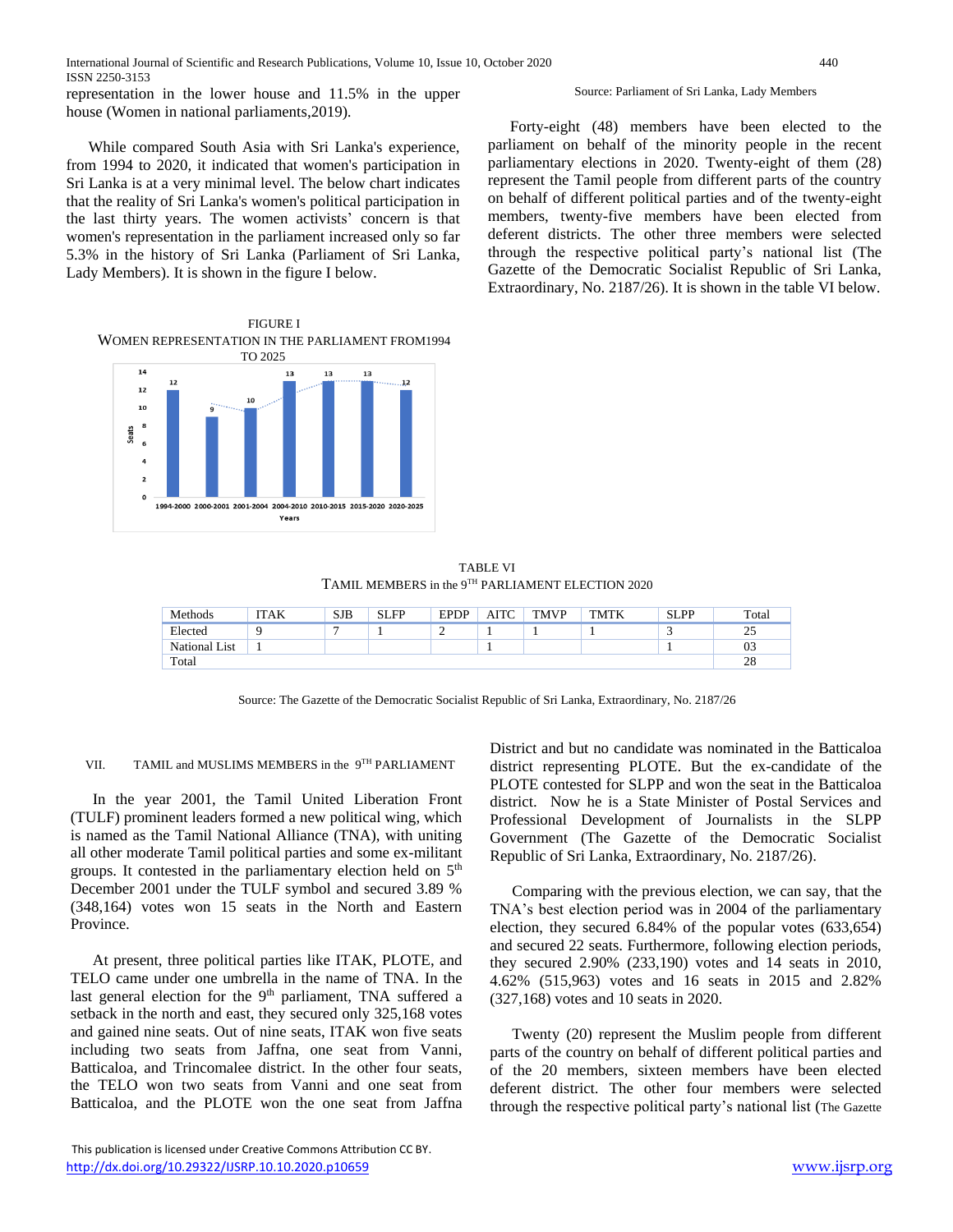representation in the lower house and 11.5% in the upper house (Women in national parliaments,2019).

While compared South Asia with Sri Lanka's experience, from 1994 to 2020, it indicated that women's participation in Sri Lanka is at a very minimal level. The below chart indicates that the reality of Sri Lanka's women's political participation in the last thirty years. The women activists' concern is that women's representation in the parliament increased only so far 5.3% in the history of Sri Lanka (Parliament of Sri Lanka, Lady Members). It is shown in the figure I below.

FIGURE I WOMEN REPRESENTATION IN THE PARLIAMENT FROM1994 TO 2025



#### Source: Parliament of Sri Lanka, Lady Members

Forty-eight (48) members have been elected to the parliament on behalf of the minority people in the recent parliamentary elections in 2020. Twenty-eight of them (28) represent the Tamil people from different parts of the country on behalf of different political parties and of the twenty-eight members, twenty-five members have been elected from deferent districts. The other three members were selected through the respective political party's national list (The Gazette of the Democratic Socialist Republic of Sri Lanka, Extraordinary, No. 2187/26). It is shown in the table VI below.

TABLE VI TAMIL MEMBERS in the 9TH PARLIAMENT ELECTION 2020

| Methods       | ITAK | <b>SJB</b> | <b>SLFP</b> | <b>EPDP</b> | AITC | <b>TMVP</b> | <b>TMTK</b> | <b>SLPP</b> | Total    |
|---------------|------|------------|-------------|-------------|------|-------------|-------------|-------------|----------|
| Elected       |      | -          |             |             |      |             |             |             | 25<br>نت |
| National List |      |            |             |             |      |             |             |             | 03       |
| Total         |      |            |             |             |      |             |             |             | 28       |

Source: The Gazette of the Democratic Socialist Republic of Sri Lanka, Extraordinary, No. 2187/26

VII. TAMIL and MUSLIMS MEMBERS in the 9<sup>TH</sup> PARLIAMENT

In the year 2001, the Tamil United Liberation Front (TULF) prominent leaders formed a new political wing, which is named as the Tamil National Alliance (TNA), with uniting all other moderate Tamil political parties and some ex-militant groups. It contested in the parliamentary election held on 5<sup>th</sup> December 2001 under the TULF symbol and secured 3.89 % (348,164) votes won 15 seats in the North and Eastern Province.

At present, three political parties like ITAK, PLOTE, and TELO came under one umbrella in the name of TNA. In the last general election for the 9<sup>th</sup> parliament, TNA suffered a setback in the north and east, they secured only 325,168 votes and gained nine seats. Out of nine seats, ITAK won five seats including two seats from Jaffna, one seat from Vanni, Batticaloa, and Trincomalee district. In the other four seats, the TELO won two seats from Vanni and one seat from Batticaloa, and the PLOTE won the one seat from Jaffna

District and but no candidate was nominated in the Batticaloa district representing PLOTE. But the ex-candidate of the PLOTE contested for SLPP and won the seat in the Batticaloa district. Now he is a State Minister of Postal Services and Professional Development of Journalists in the SLPP Government (The Gazette of the Democratic Socialist Republic of Sri Lanka, Extraordinary, No. 2187/26).

Comparing with the previous election, we can say, that the TNA's best election period was in 2004 of the parliamentary election, they secured 6.84% of the popular votes (633,654) and secured 22 seats. Furthermore, following election periods, they secured 2.90% (233,190) votes and 14 seats in 2010, 4.62% (515,963) votes and 16 seats in 2015 and 2.82% (327,168) votes and 10 seats in 2020.

Twenty (20) represent the Muslim people from different parts of the country on behalf of different political parties and of the 20 members, sixteen members have been elected deferent district. The other four members were selected through the respective political party's national list (The Gazette

This publication is licensed under Creative Commons Attribution CC BY. <http://dx.doi.org/10.29322/IJSRP.10.10.2020.p10659> [www.ijsrp.org](http://ijsrp.org/)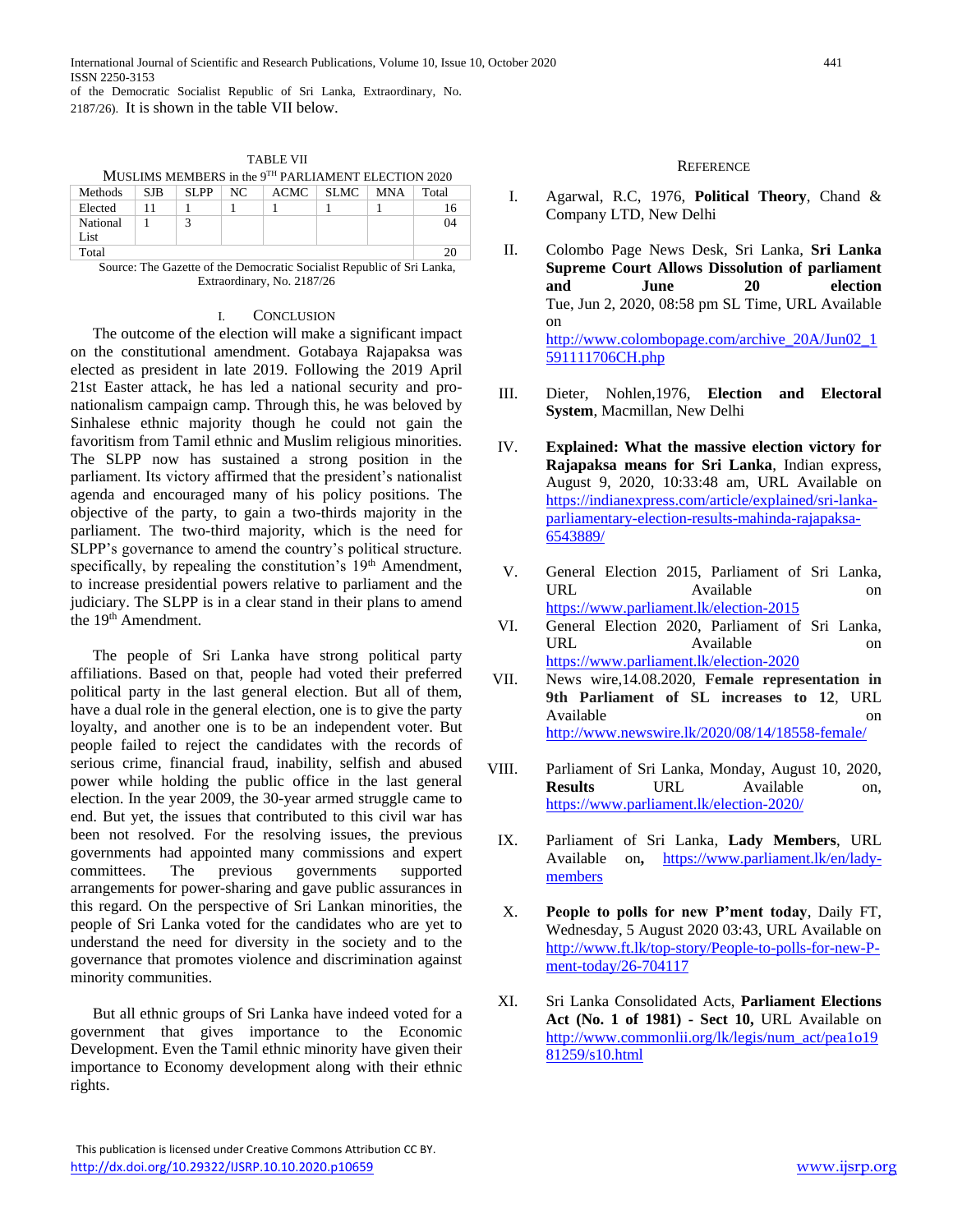of the Democratic Socialist Republic of Sri Lanka, Extraordinary, No. 2187/26). It is shown in the table VII below.

| MUSLIMS MEMBERS in the 9 <sup>TH</sup> PARLIAMENT ELECTION 2020 |      |             |  |  |               |  |       |  |
|-----------------------------------------------------------------|------|-------------|--|--|---------------|--|-------|--|
| <b>Methods</b>                                                  | -SJB | $SLPP + NC$ |  |  | ACMC SLMC MNA |  | Total |  |
| Elected                                                         | - 11 |             |  |  |               |  |       |  |
| National                                                        |      |             |  |  |               |  | 04    |  |
| List                                                            |      |             |  |  |               |  |       |  |
| Total                                                           |      |             |  |  |               |  |       |  |

TABLE VII

Source: The Gazette of the Democratic Socialist Republic of Sri Lanka, Extraordinary, No. 2187/26

## I. CONCLUSION

The outcome of the election will make a significant impact on the constitutional amendment. Gotabaya Rajapaksa was elected as president in late 2019. Following the 2019 April 21st Easter attack, he has led a national security and pronationalism campaign camp. Through this, he was beloved by Sinhalese ethnic majority though he could not gain the favoritism from Tamil ethnic and Muslim religious minorities. The SLPP now has sustained a strong position in the parliament. Its victory affirmed that the president's nationalist agenda and encouraged many of his policy positions. The objective of the party, to gain a two-thirds majority in the parliament. The two-third majority, which is the need for SLPP's governance to amend the country's political structure. specifically, by repealing the constitution's  $19<sup>th</sup>$  Amendment, to increase presidential powers relative to parliament and the judiciary. The SLPP is in a clear stand in their plans to amend the 19<sup>th</sup> Amendment.

The people of Sri Lanka have strong political party affiliations. Based on that, people had voted their preferred political party in the last general election. But all of them, have a dual role in the general election, one is to give the party loyalty, and another one is to be an independent voter. But people failed to reject the candidates with the records of serious crime, financial fraud, inability, selfish and abused power while holding the public office in the last general election. In the year 2009, the 30-year armed struggle came to end. But yet, the issues that contributed to this civil war has been not resolved. For the resolving issues, the previous governments had appointed many commissions and expert committees. The previous governments supported arrangements for power-sharing and gave public assurances in this regard. On the perspective of Sri Lankan minorities, the people of Sri Lanka voted for the candidates who are yet to understand the need for diversity in the society and to the governance that promotes violence and discrimination against minority communities.

But all ethnic groups of Sri Lanka have indeed voted for a government that gives importance to the Economic Development. Even the Tamil ethnic minority have given their importance to Economy development along with their ethnic rights.

## **REFERENCE**

- I. Agarwal, R.C, 1976, **Political Theory**, Chand & Company LTD, New Delhi
- II. Colombo Page News Desk, Sri Lanka, **Sri Lanka Supreme Court Allows Dissolution of parliament and June 20 election** Tue, Jun 2, 2020, 08:58 pm SL Time, URL Available on [http://www.colombopage.com/archive\\_20A/Jun02\\_1](http://www.colombopage.com/archive_20A/Jun02_1591111706CH.php) [591111706CH.php](http://www.colombopage.com/archive_20A/Jun02_1591111706CH.php)
- III. Dieter, Nohlen,1976, **Election and Electoral System**, Macmillan, New Delhi
- IV. **Explained: What the massive election victory for Rajapaksa means for Sri Lanka**, Indian express, August 9, 2020, 10:33:48 am, URL Available on [https://indianexpress.com/article/explained/sri-lanka](https://indianexpress.com/article/explained/sri-lanka-parliamentary-election-results-mahinda-rajapaksa-6543889/)[parliamentary-election-results-mahinda-rajapaksa-](https://indianexpress.com/article/explained/sri-lanka-parliamentary-election-results-mahinda-rajapaksa-6543889/)[6543889/](https://indianexpress.com/article/explained/sri-lanka-parliamentary-election-results-mahinda-rajapaksa-6543889/)
- V. General Election 2015, Parliament of Sri Lanka, URL Available on <https://www.parliament.lk/election-2015>
- VI. General Election 2020, Parliament of Sri Lanka, URL Available <https://www.parliament.lk/election-2020>
- VII. News wire,14.08.2020, **Female representation in 9th Parliament of SL increases to 12**, URL Available on **and a** contract on **a** contract on **a** contract on **on** <http://www.newswire.lk/2020/08/14/18558-female/>
- VIII. Parliament of Sri Lanka, Monday, August 10, 2020, **Results** URL Available on, <https://www.parliament.lk/election-2020/>
- IX. Parliament of Sri Lanka, **Lady Members**, URL Available on**,** [https://www.parliament.lk/en/lady](https://www.parliament.lk/en/lady-members)[members](https://www.parliament.lk/en/lady-members)
- X. **People to polls for new P'ment today**, Daily FT, Wednesday, 5 August 2020 03:43, URL Available on [http://www.ft.lk/top-story/People-to-polls-for-new-P](http://www.ft.lk/top-story/People-to-polls-for-new-P-ment-today/26-704117)[ment-today/26-704117](http://www.ft.lk/top-story/People-to-polls-for-new-P-ment-today/26-704117)
- XI. Sri Lanka Consolidated Acts, **Parliament Elections Act (No. 1 of 1981) - Sect 10,** URL Available on [http://www.commonlii.org/lk/legis/num\\_act/pea1o19](http://www.commonlii.org/lk/legis/num_act/pea1o1981259/s10.html) [81259/s10.html](http://www.commonlii.org/lk/legis/num_act/pea1o1981259/s10.html)